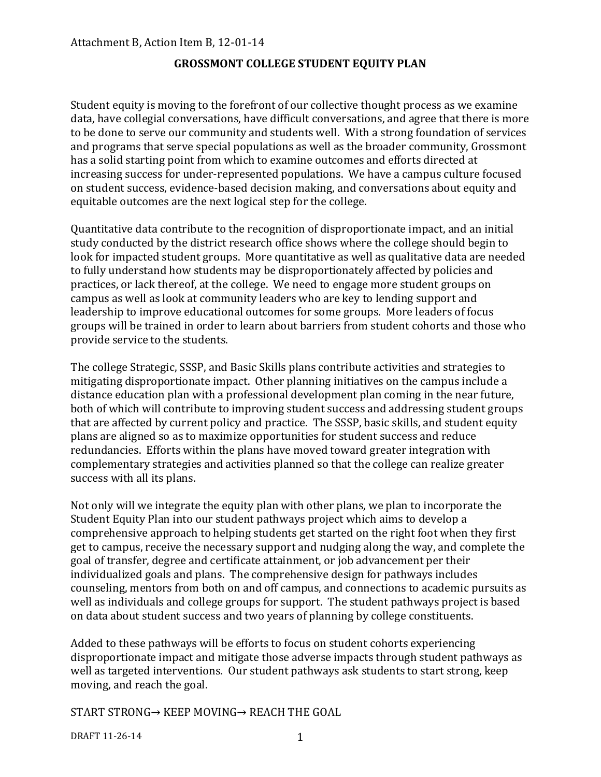### **GROSSMONT COLLEGE STUDENT EQUITY PLAN**

Student equity is moving to the forefront of our collective thought process as we examine data, have collegial conversations, have difficult conversations, and agree that there is more to be done to serve our community and students well. With a strong foundation of services and programs that serve special populations as well as the broader community, Grossmont has a solid starting point from which to examine outcomes and efforts directed at increasing success for under-represented populations. We have a campus culture focused on student success, evidence-based decision making, and conversations about equity and equitable outcomes are the next logical step for the college.

Quantitative data contribute to the recognition of disproportionate impact, and an initial study conducted by the district research office shows where the college should begin to look for impacted student groups. More quantitative as well as qualitative data are needed to fully understand how students may be disproportionately affected by policies and practices, or lack thereof, at the college. We need to engage more student groups on campus as well as look at community leaders who are key to lending support and leadership to improve educational outcomes for some groups. More leaders of focus groups will be trained in order to learn about barriers from student cohorts and those who provide service to the students.

The college Strategic, SSSP, and Basic Skills plans contribute activities and strategies to mitigating disproportionate impact. Other planning initiatives on the campus include a distance education plan with a professional development plan coming in the near future, both of which will contribute to improving student success and addressing student groups that are affected by current policy and practice. The SSSP, basic skills, and student equity plans are aligned so as to maximize opportunities for student success and reduce redundancies. Efforts within the plans have moved toward greater integration with complementary strategies and activities planned so that the college can realize greater success with all its plans.

Not only will we integrate the equity plan with other plans, we plan to incorporate the Student Equity Plan into our student pathways project which aims to develop a comprehensive approach to helping students get started on the right foot when they first get to campus, receive the necessary support and nudging along the way, and complete the goal of transfer, degree and certificate attainment, or job advancement per their individualized goals and plans. The comprehensive design for pathways includes counseling, mentors from both on and off campus, and connections to academic pursuits as well as individuals and college groups for support. The student pathways project is based on data about student success and two years of planning by college constituents.

Added to these pathways will be efforts to focus on student cohorts experiencing disproportionate impact and mitigate those adverse impacts through student pathways as well as targeted interventions. Our student pathways ask students to start strong, keep moving, and reach the goal.

START STRONG→ KEEP MOVING→ REACH THE GOAL

DRAFT 11-26-14 1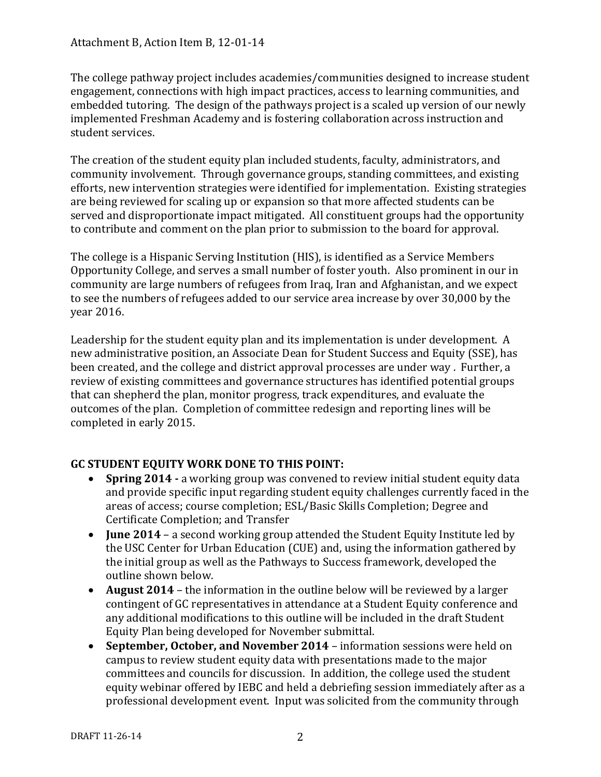The college pathway project includes academies/communities designed to increase student engagement, connections with high impact practices, access to learning communities, and embedded tutoring. The design of the pathways project is a scaled up version of our newly implemented Freshman Academy and is fostering collaboration across instruction and student services.

The creation of the student equity plan included students, faculty, administrators, and community involvement. Through governance groups, standing committees, and existing efforts, new intervention strategies were identified for implementation. Existing strategies are being reviewed for scaling up or expansion so that more affected students can be served and disproportionate impact mitigated. All constituent groups had the opportunity to contribute and comment on the plan prior to submission to the board for approval.

The college is a Hispanic Serving Institution (HIS), is identified as a Service Members Opportunity College, and serves a small number of foster youth. Also prominent in our in community are large numbers of refugees from Iraq, Iran and Afghanistan, and we expect to see the numbers of refugees added to our service area increase by over 30,000 by the year 2016.

Leadership for the student equity plan and its implementation is under development. A new administrative position, an Associate Dean for Student Success and Equity (SSE), has been created, and the college and district approval processes are under way . Further, a review of existing committees and governance structures has identified potential groups that can shepherd the plan, monitor progress, track expenditures, and evaluate the outcomes of the plan. Completion of committee redesign and reporting lines will be completed in early 2015.

# **GC STUDENT EQUITY WORK DONE TO THIS POINT:**

- **Spring 2014 -** a working group was convened to review initial student equity data and provide specific input regarding student equity challenges currently faced in the areas of access; course completion; ESL/Basic Skills Completion; Degree and Certificate Completion; and Transfer
- **June 2014** a second working group attended the Student Equity Institute led by the USC Center for Urban Education (CUE) and, using the information gathered by the initial group as well as the Pathways to Success framework, developed the outline shown below.
- **August 2014** the information in the outline below will be reviewed by a larger contingent of GC representatives in attendance at a Student Equity conference and any additional modifications to this outline will be included in the draft Student Equity Plan being developed for November submittal.
- **September, October, and November 2014** information sessions were held on campus to review student equity data with presentations made to the major committees and councils for discussion. In addition, the college used the student equity webinar offered by IEBC and held a debriefing session immediately after as a professional development event. Input was solicited from the community through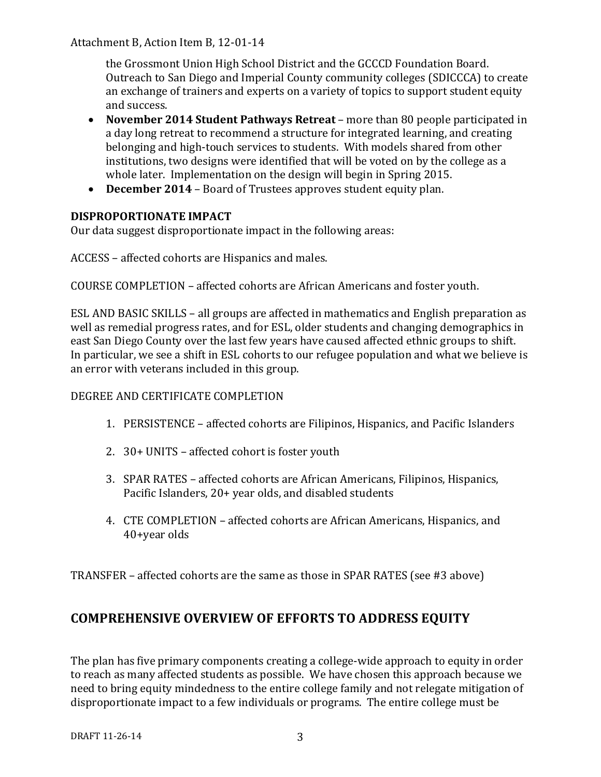the Grossmont Union High School District and the GCCCD Foundation Board. Outreach to San Diego and Imperial County community colleges (SDICCCA) to create an exchange of trainers and experts on a variety of topics to support student equity and success.

- **November 2014 Student Pathways Retreat** more than 80 people participated in a day long retreat to recommend a structure for integrated learning, and creating belonging and high-touch services to students. With models shared from other institutions, two designs were identified that will be voted on by the college as a whole later. Implementation on the design will begin in Spring 2015.
- **December 2014**  Board of Trustees approves student equity plan.

# **DISPROPORTIONATE IMPACT**

Our data suggest disproportionate impact in the following areas:

ACCESS – affected cohorts are Hispanics and males.

COURSE COMPLETION – affected cohorts are African Americans and foster youth.

ESL AND BASIC SKILLS – all groups are affected in mathematics and English preparation as well as remedial progress rates, and for ESL, older students and changing demographics in east San Diego County over the last few years have caused affected ethnic groups to shift. In particular, we see a shift in ESL cohorts to our refugee population and what we believe is an error with veterans included in this group.

# DEGREE AND CERTIFICATE COMPLETION

- 1. PERSISTENCE affected cohorts are Filipinos, Hispanics, and Pacific Islanders
- 2. 30+ UNITS affected cohort is foster youth
- 3. SPAR RATES affected cohorts are African Americans, Filipinos, Hispanics, Pacific Islanders, 20+ year olds, and disabled students
- 4. CTE COMPLETION affected cohorts are African Americans, Hispanics, and 40+year olds

TRANSFER – affected cohorts are the same as those in SPAR RATES (see #3 above)

# **COMPREHENSIVE OVERVIEW OF EFFORTS TO ADDRESS EQUITY**

The plan has five primary components creating a college-wide approach to equity in order to reach as many affected students as possible. We have chosen this approach because we need to bring equity mindedness to the entire college family and not relegate mitigation of disproportionate impact to a few individuals or programs. The entire college must be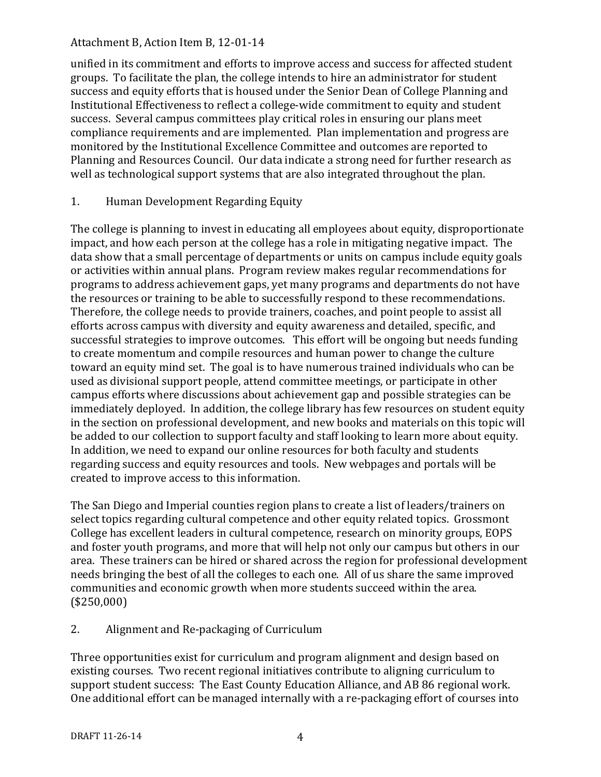unified in its commitment and efforts to improve access and success for affected student groups. To facilitate the plan, the college intends to hire an administrator for student success and equity efforts that is housed under the Senior Dean of College Planning and Institutional Effectiveness to reflect a college-wide commitment to equity and student success. Several campus committees play critical roles in ensuring our plans meet compliance requirements and are implemented. Plan implementation and progress are monitored by the Institutional Excellence Committee and outcomes are reported to Planning and Resources Council. Our data indicate a strong need for further research as well as technological support systems that are also integrated throughout the plan.

### 1. Human Development Regarding Equity

The college is planning to invest in educating all employees about equity, disproportionate impact, and how each person at the college has a role in mitigating negative impact. The data show that a small percentage of departments or units on campus include equity goals or activities within annual plans. Program review makes regular recommendations for programs to address achievement gaps, yet many programs and departments do not have the resources or training to be able to successfully respond to these recommendations. Therefore, the college needs to provide trainers, coaches, and point people to assist all efforts across campus with diversity and equity awareness and detailed, specific, and successful strategies to improve outcomes. This effort will be ongoing but needs funding to create momentum and compile resources and human power to change the culture toward an equity mind set. The goal is to have numerous trained individuals who can be used as divisional support people, attend committee meetings, or participate in other campus efforts where discussions about achievement gap and possible strategies can be immediately deployed. In addition, the college library has few resources on student equity in the section on professional development, and new books and materials on this topic will be added to our collection to support faculty and staff looking to learn more about equity. In addition, we need to expand our online resources for both faculty and students regarding success and equity resources and tools. New webpages and portals will be created to improve access to this information.

The San Diego and Imperial counties region plans to create a list of leaders/trainers on select topics regarding cultural competence and other equity related topics. Grossmont College has excellent leaders in cultural competence, research on minority groups, EOPS and foster youth programs, and more that will help not only our campus but others in our area. These trainers can be hired or shared across the region for professional development needs bringing the best of all the colleges to each one. All of us share the same improved communities and economic growth when more students succeed within the area. (\$250,000)

### 2. Alignment and Re-packaging of Curriculum

Three opportunities exist for curriculum and program alignment and design based on existing courses. Two recent regional initiatives contribute to aligning curriculum to support student success: The East County Education Alliance, and AB 86 regional work. One additional effort can be managed internally with a re-packaging effort of courses into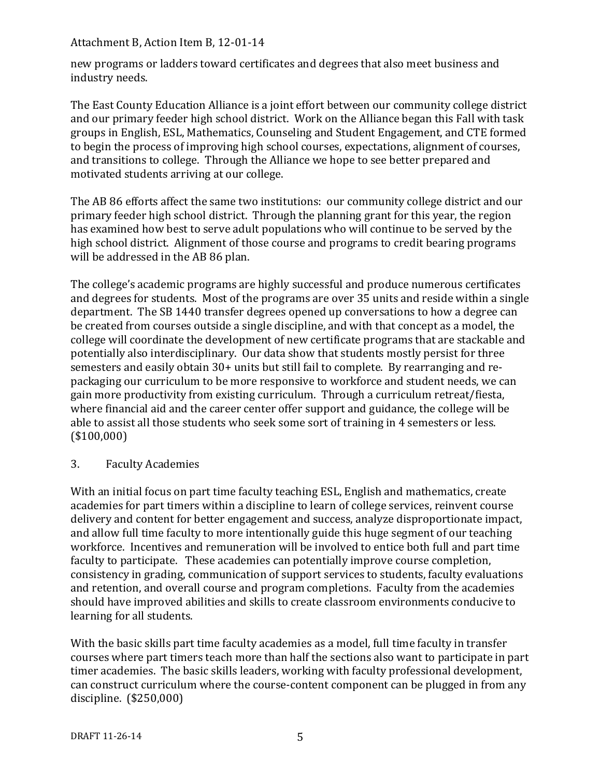new programs or ladders toward certificates and degrees that also meet business and industry needs.

The East County Education Alliance is a joint effort between our community college district and our primary feeder high school district. Work on the Alliance began this Fall with task groups in English, ESL, Mathematics, Counseling and Student Engagement, and CTE formed to begin the process of improving high school courses, expectations, alignment of courses, and transitions to college. Through the Alliance we hope to see better prepared and motivated students arriving at our college.

The AB 86 efforts affect the same two institutions: our community college district and our primary feeder high school district. Through the planning grant for this year, the region has examined how best to serve adult populations who will continue to be served by the high school district. Alignment of those course and programs to credit bearing programs will be addressed in the AB 86 plan.

The college's academic programs are highly successful and produce numerous certificates and degrees for students. Most of the programs are over 35 units and reside within a single department. The SB 1440 transfer degrees opened up conversations to how a degree can be created from courses outside a single discipline, and with that concept as a model, the college will coordinate the development of new certificate programs that are stackable and potentially also interdisciplinary. Our data show that students mostly persist for three semesters and easily obtain 30+ units but still fail to complete. By rearranging and repackaging our curriculum to be more responsive to workforce and student needs, we can gain more productivity from existing curriculum. Through a curriculum retreat/fiesta, where financial aid and the career center offer support and guidance, the college will be able to assist all those students who seek some sort of training in 4 semesters or less. (\$100,000)

3. Faculty Academies

With an initial focus on part time faculty teaching ESL, English and mathematics, create academies for part timers within a discipline to learn of college services, reinvent course delivery and content for better engagement and success, analyze disproportionate impact, and allow full time faculty to more intentionally guide this huge segment of our teaching workforce. Incentives and remuneration will be involved to entice both full and part time faculty to participate. These academies can potentially improve course completion, consistency in grading, communication of support services to students, faculty evaluations and retention, and overall course and program completions. Faculty from the academies should have improved abilities and skills to create classroom environments conducive to learning for all students.

With the basic skills part time faculty academies as a model, full time faculty in transfer courses where part timers teach more than half the sections also want to participate in part timer academies. The basic skills leaders, working with faculty professional development, can construct curriculum where the course-content component can be plugged in from any discipline. (\$250,000)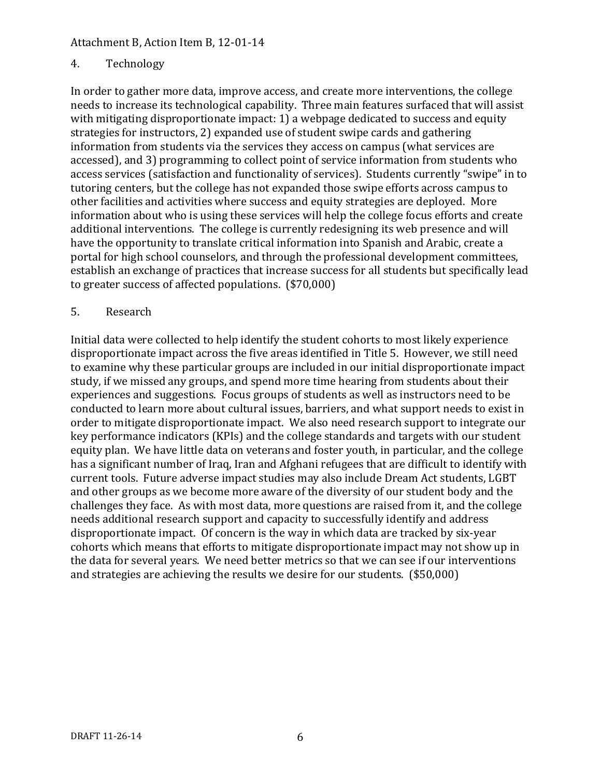# 4. Technology

In order to gather more data, improve access, and create more interventions, the college needs to increase its technological capability. Three main features surfaced that will assist with mitigating disproportionate impact: 1) a webpage dedicated to success and equity strategies for instructors, 2) expanded use of student swipe cards and gathering information from students via the services they access on campus (what services are accessed), and 3) programming to collect point of service information from students who access services (satisfaction and functionality of services). Students currently "swipe" in to tutoring centers, but the college has not expanded those swipe efforts across campus to other facilities and activities where success and equity strategies are deployed. More information about who is using these services will help the college focus efforts and create additional interventions. The college is currently redesigning its web presence and will have the opportunity to translate critical information into Spanish and Arabic, create a portal for high school counselors, and through the professional development committees, establish an exchange of practices that increase success for all students but specifically lead to greater success of affected populations. (\$70,000)

#### 5. Research

Initial data were collected to help identify the student cohorts to most likely experience disproportionate impact across the five areas identified in Title 5. However, we still need to examine why these particular groups are included in our initial disproportionate impact study, if we missed any groups, and spend more time hearing from students about their experiences and suggestions. Focus groups of students as well as instructors need to be conducted to learn more about cultural issues, barriers, and what support needs to exist in order to mitigate disproportionate impact. We also need research support to integrate our key performance indicators (KPIs) and the college standards and targets with our student equity plan. We have little data on veterans and foster youth, in particular, and the college has a significant number of Iraq, Iran and Afghani refugees that are difficult to identify with current tools. Future adverse impact studies may also include Dream Act students, LGBT and other groups as we become more aware of the diversity of our student body and the challenges they face. As with most data, more questions are raised from it, and the college needs additional research support and capacity to successfully identify and address disproportionate impact. Of concern is the way in which data are tracked by six-year cohorts which means that efforts to mitigate disproportionate impact may not show up in the data for several years. We need better metrics so that we can see if our interventions and strategies are achieving the results we desire for our students. (\$50,000)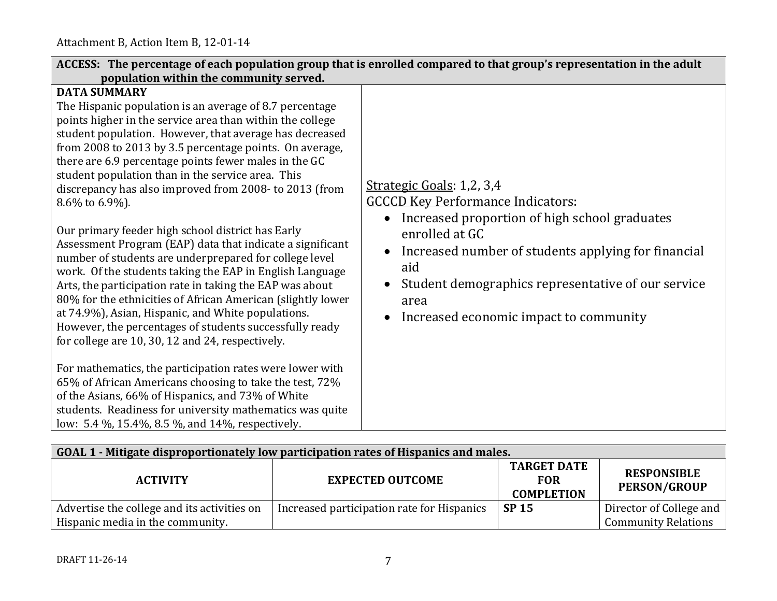| ACCESS: The percentage of each population group that is enrolled compared to that group's representation in the adult<br>population within the community served.                                                                                                                                                                                                                                                                                                                                                                                                                                                                                                                                                                                                                                                                                                                                                                                                                                                                                                                                                                                                                                                                                                                                |                                                                                                                                                                                                                                                                                                                |  |  |  |
|-------------------------------------------------------------------------------------------------------------------------------------------------------------------------------------------------------------------------------------------------------------------------------------------------------------------------------------------------------------------------------------------------------------------------------------------------------------------------------------------------------------------------------------------------------------------------------------------------------------------------------------------------------------------------------------------------------------------------------------------------------------------------------------------------------------------------------------------------------------------------------------------------------------------------------------------------------------------------------------------------------------------------------------------------------------------------------------------------------------------------------------------------------------------------------------------------------------------------------------------------------------------------------------------------|----------------------------------------------------------------------------------------------------------------------------------------------------------------------------------------------------------------------------------------------------------------------------------------------------------------|--|--|--|
| <b>DATA SUMMARY</b><br>The Hispanic population is an average of 8.7 percentage<br>points higher in the service area than within the college<br>student population. However, that average has decreased<br>from 2008 to 2013 by 3.5 percentage points. On average,<br>there are 6.9 percentage points fewer males in the GC<br>student population than in the service area. This<br>discrepancy has also improved from 2008- to 2013 (from<br>8.6% to 6.9%).<br>Our primary feeder high school district has Early<br>Assessment Program (EAP) data that indicate a significant<br>number of students are underprepared for college level<br>work. Of the students taking the EAP in English Language<br>Arts, the participation rate in taking the EAP was about<br>80% for the ethnicities of African American (slightly lower<br>at 74.9%), Asian, Hispanic, and White populations.<br>However, the percentages of students successfully ready<br>for college are 10, 30, 12 and 24, respectively.<br>For mathematics, the participation rates were lower with<br>65% of African Americans choosing to take the test, 72%<br>of the Asians, 66% of Hispanics, and 73% of White<br>students. Readiness for university mathematics was quite<br>low: 5.4 %, 15.4%, 8.5 %, and 14%, respectively. | Strategic Goals: 1,2, 3,4<br><b>GCCCD Key Performance Indicators:</b><br>Increased proportion of high school graduates<br>enrolled at GC<br>Increased number of students applying for financial<br>aid<br>Student demographics representative of our service<br>area<br>Increased economic impact to community |  |  |  |

| GOAL 1 - Mitigate disproportionately low participation rates of Hispanics and males. |                                            |                                                       |                                                       |  |
|--------------------------------------------------------------------------------------|--------------------------------------------|-------------------------------------------------------|-------------------------------------------------------|--|
| <b>ACTIVITY</b>                                                                      | <b>EXPECTED OUTCOME</b>                    | <b>TARGET DATE</b><br><b>FOR</b><br><b>COMPLETION</b> | <b>RESPONSIBLE</b><br><b>PERSON/GROUP</b>             |  |
| Advertise the college and its activities on<br>Hispanic media in the community.      | Increased participation rate for Hispanics | <b>SP 15</b>                                          | Director of College and<br><b>Community Relations</b> |  |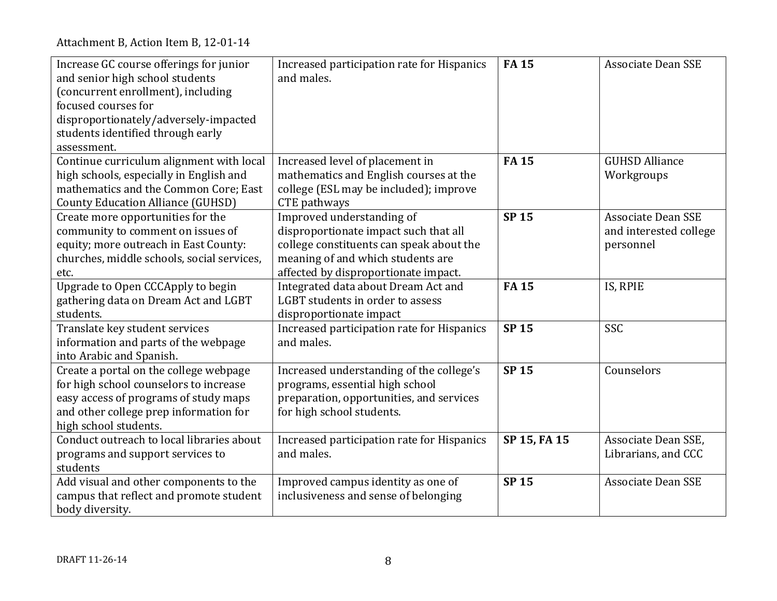| Increase GC course offerings for junior<br>and senior high school students<br>(concurrent enrollment), including<br>focused courses for<br>disproportionately/adversely-impacted<br>students identified through early<br>assessment. | Increased participation rate for Hispanics<br>and males.                                                                                                                                    | <b>FA15</b>  | <b>Associate Dean SSE</b>                                        |
|--------------------------------------------------------------------------------------------------------------------------------------------------------------------------------------------------------------------------------------|---------------------------------------------------------------------------------------------------------------------------------------------------------------------------------------------|--------------|------------------------------------------------------------------|
| Continue curriculum alignment with local<br>high schools, especially in English and<br>mathematics and the Common Core; East<br><b>County Education Alliance (GUHSD)</b>                                                             | Increased level of placement in<br>mathematics and English courses at the<br>college (ESL may be included); improve<br>CTE pathways                                                         | <b>FA15</b>  | <b>GUHSD Alliance</b><br>Workgroups                              |
| Create more opportunities for the<br>community to comment on issues of<br>equity; more outreach in East County:<br>churches, middle schools, social services,<br>etc.                                                                | Improved understanding of<br>disproportionate impact such that all<br>college constituents can speak about the<br>meaning of and which students are<br>affected by disproportionate impact. | <b>SP 15</b> | <b>Associate Dean SSE</b><br>and interested college<br>personnel |
| Upgrade to Open CCCApply to begin<br>gathering data on Dream Act and LGBT<br>students.                                                                                                                                               | Integrated data about Dream Act and<br>LGBT students in order to assess<br>disproportionate impact                                                                                          | <b>FA15</b>  | IS, RPIE                                                         |
| Translate key student services<br>information and parts of the webpage<br>into Arabic and Spanish.                                                                                                                                   | Increased participation rate for Hispanics<br>and males.                                                                                                                                    | <b>SP 15</b> | SSC                                                              |
| Create a portal on the college webpage<br>for high school counselors to increase<br>easy access of programs of study maps<br>and other college prep information for<br>high school students.                                         | Increased understanding of the college's<br>programs, essential high school<br>preparation, opportunities, and services<br>for high school students.                                        | <b>SP15</b>  | Counselors                                                       |
| Conduct outreach to local libraries about<br>programs and support services to<br>students                                                                                                                                            | Increased participation rate for Hispanics<br>and males.                                                                                                                                    | SP 15, FA 15 | Associate Dean SSE,<br>Librarians, and CCC                       |
| Add visual and other components to the<br>campus that reflect and promote student<br>body diversity.                                                                                                                                 | Improved campus identity as one of<br>inclusiveness and sense of belonging                                                                                                                  | <b>SP15</b>  | <b>Associate Dean SSE</b>                                        |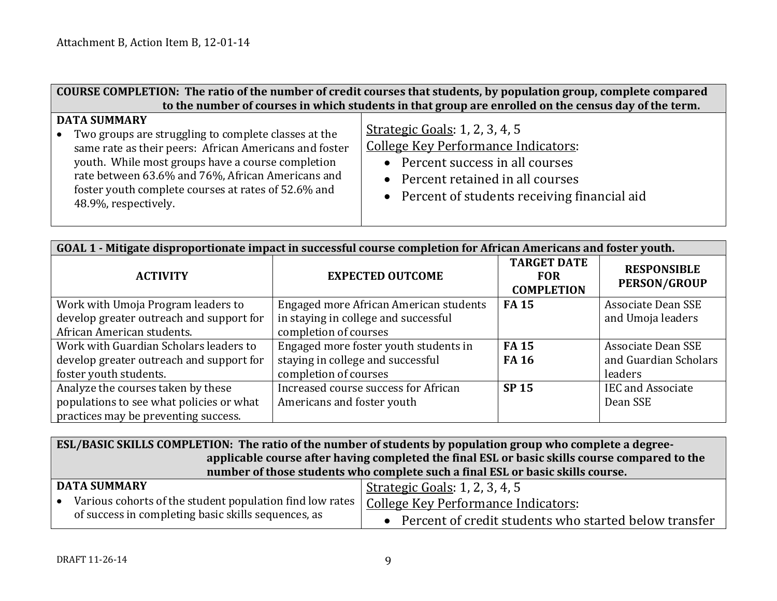| COURSE COMPLETION: The ratio of the number of credit courses that students, by population group, complete compared                                                                                                                                                                                                             |                                                                                                                                                                                                 |  |
|--------------------------------------------------------------------------------------------------------------------------------------------------------------------------------------------------------------------------------------------------------------------------------------------------------------------------------|-------------------------------------------------------------------------------------------------------------------------------------------------------------------------------------------------|--|
|                                                                                                                                                                                                                                                                                                                                | to the number of courses in which students in that group are enrolled on the census day of the term.                                                                                            |  |
| <b>DATA SUMMARY</b><br>Two groups are struggling to complete classes at the<br>same rate as their peers: African Americans and foster<br>youth. While most groups have a course completion<br>rate between 63.6% and 76%, African Americans and<br>foster youth complete courses at rates of 52.6% and<br>48.9%, respectively. | Strategic Goals: 1, 2, 3, 4, 5<br>College Key Performance Indicators:<br>• Percent success in all courses<br>• Percent retained in all courses<br>• Percent of students receiving financial aid |  |

| GOAL 1 - Mitigate disproportionate impact in successful course completion for African Americans and foster youth. |                                                                                |                                                       |                                           |  |
|-------------------------------------------------------------------------------------------------------------------|--------------------------------------------------------------------------------|-------------------------------------------------------|-------------------------------------------|--|
| <b>ACTIVITY</b>                                                                                                   | <b>EXPECTED OUTCOME</b>                                                        | <b>TARGET DATE</b><br><b>FOR</b><br><b>COMPLETION</b> | <b>RESPONSIBLE</b><br><b>PERSON/GROUP</b> |  |
| Work with Umoja Program leaders to<br>develop greater outreach and support for                                    | Engaged more African American students<br>in staying in college and successful | <b>FA15</b>                                           | Associate Dean SSE<br>and Umoja leaders   |  |
| African American students.                                                                                        | completion of courses                                                          |                                                       |                                           |  |
| Work with Guardian Scholars leaders to                                                                            | Engaged more foster youth students in                                          | <b>FA15</b>                                           | <b>Associate Dean SSE</b>                 |  |
| develop greater outreach and support for                                                                          | staying in college and successful                                              | <b>FA 16</b>                                          | and Guardian Scholars                     |  |
| foster youth students.                                                                                            | completion of courses                                                          |                                                       | leaders                                   |  |
| Analyze the courses taken by these                                                                                | Increased course success for African                                           | <b>SP 15</b>                                          | <b>IEC and Associate</b>                  |  |
| populations to see what policies or what                                                                          | Americans and foster youth                                                     |                                                       | Dean SSE                                  |  |
| practices may be preventing success.                                                                              |                                                                                |                                                       |                                           |  |

**ESL/BASIC SKILLS COMPLETION: The ratio of the number of students by population group who complete a degreeapplicable course after having completed the final ESL or basic skills course compared to the number of those students who complete such a final ESL or basic skills course.**

| DATA SUMMARY                                                                                   | <u>  Strategic Goals</u> : 1, 2, 3, 4, 5                |
|------------------------------------------------------------------------------------------------|---------------------------------------------------------|
| Various cohorts of the student population find low rates   College Key Performance Indicators: |                                                         |
| of success in completing basic skills sequences, as                                            | • Percent of credit students who started below transfer |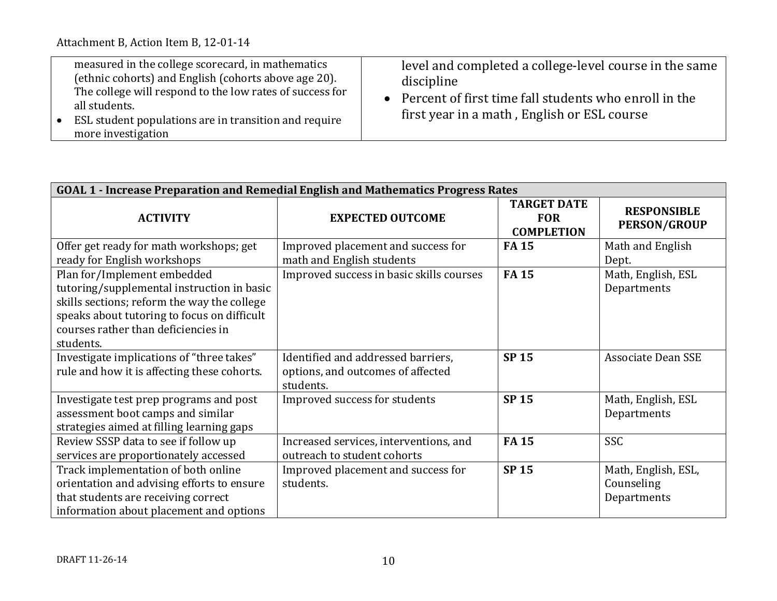| measured in the college scorecard, in mathematics<br>(ethnic cohorts) and English (cohorts above age 20).<br>The college will respond to the low rates of success for<br>all students.<br>ESL student populations are in transition and require<br>more investigation | level and completed a college-level course in the same<br>discipline<br>• Percent of first time fall students who enroll in the<br>first year in a math, English or ESL course |
|-----------------------------------------------------------------------------------------------------------------------------------------------------------------------------------------------------------------------------------------------------------------------|--------------------------------------------------------------------------------------------------------------------------------------------------------------------------------|
|-----------------------------------------------------------------------------------------------------------------------------------------------------------------------------------------------------------------------------------------------------------------------|--------------------------------------------------------------------------------------------------------------------------------------------------------------------------------|

| GOAL 1 - Increase Preparation and Remedial English and Mathematics Progress Rates                                                                                                                                           |                                                                                      |                                                       |                                                  |  |
|-----------------------------------------------------------------------------------------------------------------------------------------------------------------------------------------------------------------------------|--------------------------------------------------------------------------------------|-------------------------------------------------------|--------------------------------------------------|--|
| <b>ACTIVITY</b>                                                                                                                                                                                                             | <b>EXPECTED OUTCOME</b>                                                              | <b>TARGET DATE</b><br><b>FOR</b><br><b>COMPLETION</b> | <b>RESPONSIBLE</b><br><b>PERSON/GROUP</b>        |  |
| Offer get ready for math workshops; get<br>ready for English workshops                                                                                                                                                      | Improved placement and success for<br>math and English students                      | <b>FA15</b>                                           | Math and English<br>Dept.                        |  |
| Plan for/Implement embedded<br>tutoring/supplemental instruction in basic<br>skills sections; reform the way the college<br>speaks about tutoring to focus on difficult<br>courses rather than deficiencies in<br>students. | Improved success in basic skills courses                                             | <b>FA15</b>                                           | Math, English, ESL<br>Departments                |  |
| Investigate implications of "three takes"<br>rule and how it is affecting these cohorts.                                                                                                                                    | Identified and addressed barriers,<br>options, and outcomes of affected<br>students. | <b>SP15</b>                                           | <b>Associate Dean SSE</b>                        |  |
| Investigate test prep programs and post<br>assessment boot camps and similar<br>strategies aimed at filling learning gaps                                                                                                   | Improved success for students                                                        | <b>SP15</b>                                           | Math, English, ESL<br>Departments                |  |
| Review SSSP data to see if follow up<br>services are proportionately accessed                                                                                                                                               | Increased services, interventions, and<br>outreach to student cohorts                | <b>FA15</b>                                           | <b>SSC</b>                                       |  |
| Track implementation of both online<br>orientation and advising efforts to ensure<br>that students are receiving correct<br>information about placement and options                                                         | Improved placement and success for<br>students.                                      | <b>SP15</b>                                           | Math, English, ESL,<br>Counseling<br>Departments |  |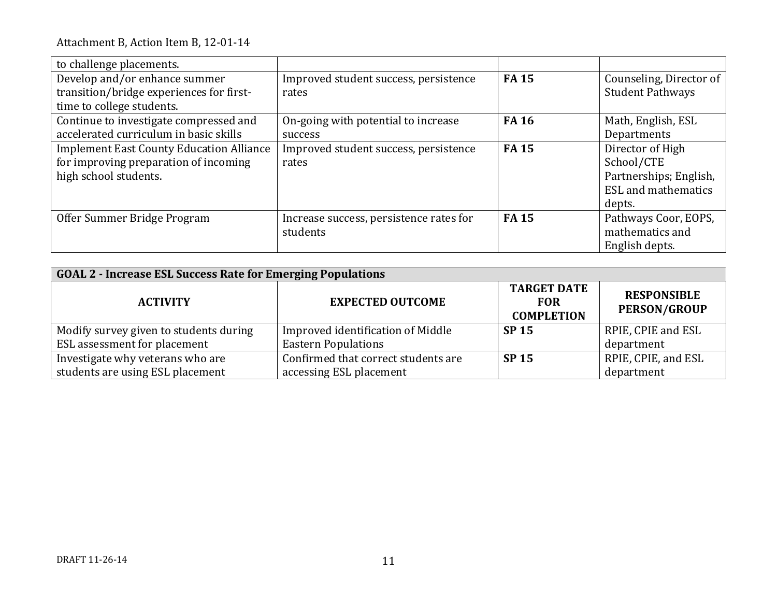| to challenge placements.                        |                                         |              |                            |
|-------------------------------------------------|-----------------------------------------|--------------|----------------------------|
| Develop and/or enhance summer                   | Improved student success, persistence   | <b>FA15</b>  | Counseling, Director of    |
| transition/bridge experiences for first-        | rates                                   |              | <b>Student Pathways</b>    |
| time to college students.                       |                                         |              |                            |
| Continue to investigate compressed and          | On-going with potential to increase     | <b>FA 16</b> | Math, English, ESL         |
| accelerated curriculum in basic skills          | success                                 |              | Departments                |
| <b>Implement East County Education Alliance</b> | Improved student success, persistence   | <b>FA15</b>  | Director of High           |
| for improving preparation of incoming           | rates                                   |              | School/CTE                 |
| high school students.                           |                                         |              | Partnerships; English,     |
|                                                 |                                         |              | <b>ESL</b> and mathematics |
|                                                 |                                         |              | depts.                     |
| Offer Summer Bridge Program                     | Increase success, persistence rates for | <b>FA15</b>  | Pathways Coor, EOPS,       |
|                                                 | students                                |              | mathematics and            |
|                                                 |                                         |              | English depts.             |

| <b>GOAL 2 - Increase ESL Success Rate for Emerging Populations</b> |                                     |                                                       |                                           |  |
|--------------------------------------------------------------------|-------------------------------------|-------------------------------------------------------|-------------------------------------------|--|
| <b>ACTIVITY</b>                                                    | <b>EXPECTED OUTCOME</b>             | <b>TARGET DATE</b><br><b>FOR</b><br><b>COMPLETION</b> | <b>RESPONSIBLE</b><br><b>PERSON/GROUP</b> |  |
| Modify survey given to students during                             | Improved identification of Middle   | <b>SP 15</b>                                          | RPIE, CPIE and ESL                        |  |
| ESL assessment for placement                                       | <b>Eastern Populations</b>          |                                                       | department                                |  |
| Investigate why veterans who are                                   | Confirmed that correct students are | <b>SP 15</b>                                          | RPIE, CPIE, and ESL                       |  |
| students are using ESL placement                                   | accessing ESL placement             |                                                       | department                                |  |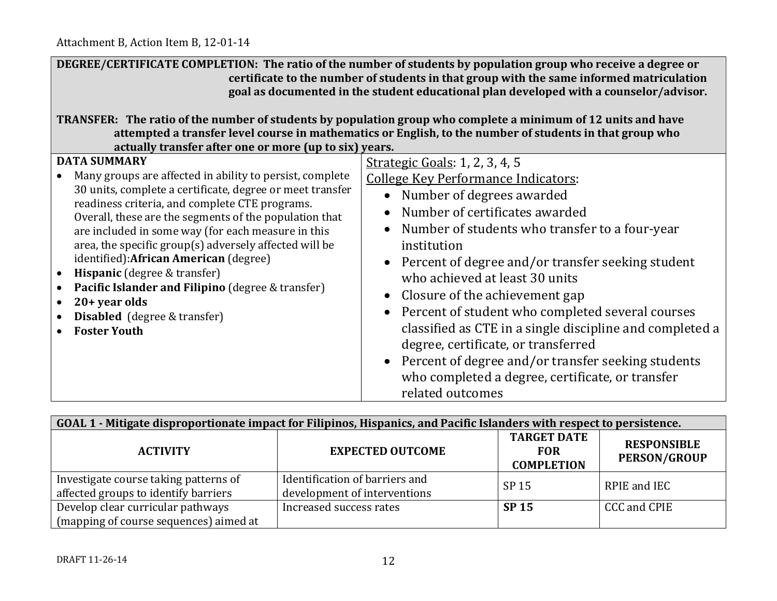| DEGREE/CERTIFICATE COMPLETION: The ratio of the number of students by population group who receive a degree or<br>certificate to the number of students in that group with the same informed matriculation<br>goal as documented in the student educational plan developed with a counselor/advisor.<br>TRANSFER: The ratio of the number of students by population group who complete a minimum of 12 units and have<br>attempted a transfer level course in mathematics or English, to the number of students in that group who<br>actually transfer after one or more (up to six) years.                      |                                                                                                                                                                                                                                                                                                                                                                                                                                                                                                                                                                                                                                                                                    |  |  |
|------------------------------------------------------------------------------------------------------------------------------------------------------------------------------------------------------------------------------------------------------------------------------------------------------------------------------------------------------------------------------------------------------------------------------------------------------------------------------------------------------------------------------------------------------------------------------------------------------------------|------------------------------------------------------------------------------------------------------------------------------------------------------------------------------------------------------------------------------------------------------------------------------------------------------------------------------------------------------------------------------------------------------------------------------------------------------------------------------------------------------------------------------------------------------------------------------------------------------------------------------------------------------------------------------------|--|--|
| <b>DATA SUMMARY</b><br>Many groups are affected in ability to persist, complete<br>30 units, complete a certificate, degree or meet transfer<br>readiness criteria, and complete CTE programs.<br>Overall, these are the segments of the population that<br>are included in some way (for each measure in this<br>area, the specific group(s) adversely affected will be<br>identified): African American (degree)<br>Hispanic (degree & transfer)<br>$\bullet$<br>Pacific Islander and Filipino (degree & transfer)<br>20+ year olds<br>$\bullet$<br><b>Disabled</b> (degree & transfer)<br><b>Foster Youth</b> | Strategic Goals: 1, 2, 3, 4, 5<br><b>College Key Performance Indicators:</b><br>Number of degrees awarded<br>$\bullet$<br>Number of certificates awarded<br>$\bullet$<br>Number of students who transfer to a four-year<br>$\bullet$<br>institution<br>• Percent of degree and/or transfer seeking student<br>who achieved at least 30 units<br>Closure of the achievement gap<br>$\bullet$<br>Percent of student who completed several courses<br>classified as CTE in a single discipline and completed a<br>degree, certificate, or transferred<br>• Percent of degree and/or transfer seeking students<br>who completed a degree, certificate, or transfer<br>related outcomes |  |  |

| GOAL 1 - Mitigate disproportionate impact for Filipinos, Hispanics, and Pacific Islanders with respect to persistence. |                                                                                                                               |              |              |  |
|------------------------------------------------------------------------------------------------------------------------|-------------------------------------------------------------------------------------------------------------------------------|--------------|--------------|--|
| <b>ACTIVITY</b>                                                                                                        | <b>TARGET DATE</b><br><b>RESPONSIBLE</b><br><b>EXPECTED OUTCOME</b><br><b>FOR</b><br><b>PERSON/GROUP</b><br><b>COMPLETION</b> |              |              |  |
| Investigate course taking patterns of<br>affected groups to identify barriers                                          | Identification of barriers and<br>development of interventions                                                                | SP 15        | RPIE and IEC |  |
| Develop clear curricular pathways<br>(mapping of course sequences) aimed at                                            | Increased success rates                                                                                                       | <b>SP 15</b> | CCC and CPIE |  |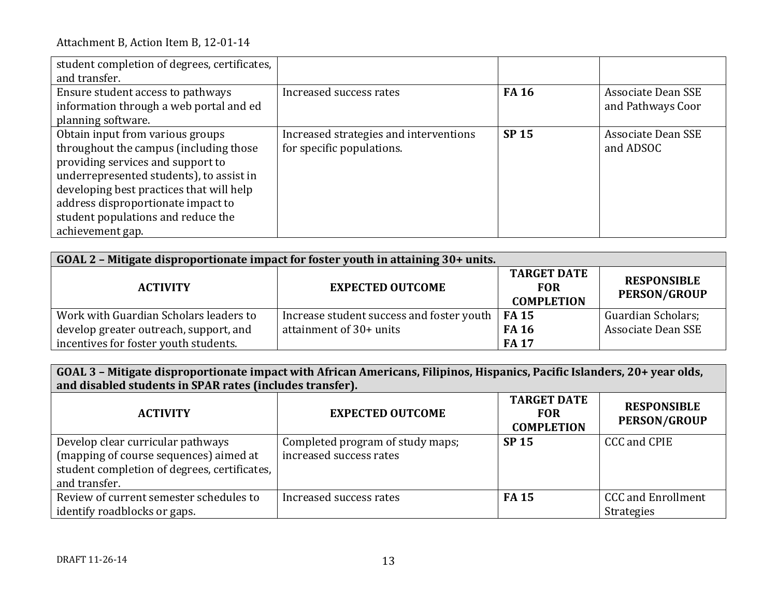| student completion of degrees, certificates,<br>and transfer.                                                                                                                                                                                                                                           |                                                                     |              |                                                |
|---------------------------------------------------------------------------------------------------------------------------------------------------------------------------------------------------------------------------------------------------------------------------------------------------------|---------------------------------------------------------------------|--------------|------------------------------------------------|
| Ensure student access to pathways<br>information through a web portal and ed<br>planning software.                                                                                                                                                                                                      | Increased success rates                                             | <b>FA 16</b> | <b>Associate Dean SSE</b><br>and Pathways Coor |
| Obtain input from various groups<br>throughout the campus (including those<br>providing services and support to<br>underrepresented students), to assist in<br>developing best practices that will help<br>address disproportionate impact to<br>student populations and reduce the<br>achievement gap. | Increased strategies and interventions<br>for specific populations. | <b>SP 15</b> | <b>Associate Dean SSE</b><br>and ADSOC         |

| GOAL 2 - Mitigate disproportionate impact for foster youth in attaining 30+ units. |                                           |                                                       |                                           |  |
|------------------------------------------------------------------------------------|-------------------------------------------|-------------------------------------------------------|-------------------------------------------|--|
| <b>ACTIVITY</b>                                                                    | <b>EXPECTED OUTCOME</b>                   | <b>TARGET DATE</b><br><b>FOR</b><br><b>COMPLETION</b> | <b>RESPONSIBLE</b><br><b>PERSON/GROUP</b> |  |
| Work with Guardian Scholars leaders to                                             | Increase student success and foster youth | <b>FA 15</b>                                          | Guardian Scholars;                        |  |
| develop greater outreach, support, and                                             | attainment of 30+ units                   | <b>FA 16</b>                                          | Associate Dean SSE                        |  |
| incentives for foster youth students.                                              |                                           | <b>FA17</b>                                           |                                           |  |

**GOAL 3 – Mitigate disproportionate impact with African Americans, Filipinos, Hispanics, Pacific Islanders, 20+ year olds, and disabled students in SPAR rates (includes transfer).**

| <b>ACTIVITY</b>                                                                                                                              | <b>EXPECTED OUTCOME</b>                                     | <b>TARGET DATE</b><br><b>FOR</b><br><b>COMPLETION</b> | <b>RESPONSIBLE</b><br><b>PERSON/GROUP</b>      |
|----------------------------------------------------------------------------------------------------------------------------------------------|-------------------------------------------------------------|-------------------------------------------------------|------------------------------------------------|
| Develop clear curricular pathways<br>(mapping of course sequences) aimed at<br>student completion of degrees, certificates,<br>and transfer. | Completed program of study maps;<br>increased success rates | <b>SP 15</b>                                          | CCC and CPIE                                   |
| Review of current semester schedules to<br>identify roadblocks or gaps.                                                                      | Increased success rates                                     | <b>FA 15</b>                                          | <b>CCC and Enrollment</b><br><b>Strategies</b> |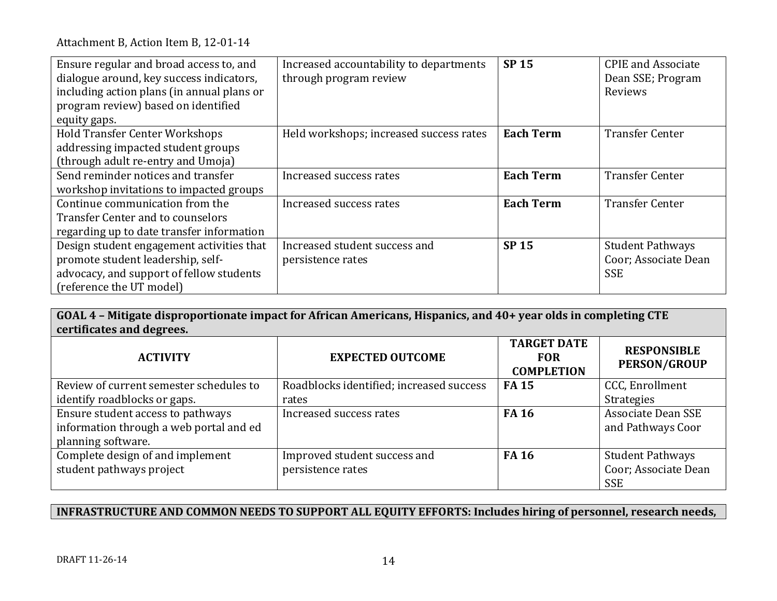| Ensure regular and broad access to, and    | Increased accountability to departments | <b>SP 15</b>     | <b>CPIE</b> and Associate |
|--------------------------------------------|-----------------------------------------|------------------|---------------------------|
| dialogue around, key success indicators,   | through program review                  |                  | Dean SSE; Program         |
| including action plans (in annual plans or |                                         |                  | Reviews                   |
| program review) based on identified        |                                         |                  |                           |
| equity gaps.                               |                                         |                  |                           |
| <b>Hold Transfer Center Workshops</b>      | Held workshops; increased success rates | <b>Each Term</b> | <b>Transfer Center</b>    |
| addressing impacted student groups         |                                         |                  |                           |
| (through adult re-entry and Umoja)         |                                         |                  |                           |
| Send reminder notices and transfer         | Increased success rates                 | <b>Each Term</b> | <b>Transfer Center</b>    |
| workshop invitations to impacted groups    |                                         |                  |                           |
| Continue communication from the            | Increased success rates                 | <b>Each Term</b> | <b>Transfer Center</b>    |
| <b>Transfer Center and to counselors</b>   |                                         |                  |                           |
| regarding up to date transfer information  |                                         |                  |                           |
| Design student engagement activities that  | Increased student success and           | <b>SP 15</b>     | <b>Student Pathways</b>   |
| promote student leadership, self-          | persistence rates                       |                  | Coor; Associate Dean      |
| advocacy, and support of fellow students   |                                         |                  | <b>SSE</b>                |
| (reference the UT model)                   |                                         |                  |                           |

**GOAL 4 – Mitigate disproportionate impact for African Americans, Hispanics, and 40+ year olds in completing CTE certificates and degrees.**

| <b>ACTIVITY</b>                         | <b>EXPECTED OUTCOME</b>                  | <b>TARGET DATE</b><br><b>FOR</b><br><b>COMPLETION</b> | <b>RESPONSIBLE</b><br><b>PERSON/GROUP</b> |
|-----------------------------------------|------------------------------------------|-------------------------------------------------------|-------------------------------------------|
| Review of current semester schedules to | Roadblocks identified; increased success | <b>FA15</b>                                           | CCC, Enrollment                           |
| identify roadblocks or gaps.            | rates                                    |                                                       | <b>Strategies</b>                         |
| Ensure student access to pathways       | Increased success rates                  | <b>FA 16</b>                                          | <b>Associate Dean SSE</b>                 |
| information through a web portal and ed |                                          |                                                       | and Pathways Coor                         |
| planning software.                      |                                          |                                                       |                                           |
| Complete design of and implement        | Improved student success and             | <b>FA 16</b>                                          | <b>Student Pathways</b>                   |
| student pathways project                | persistence rates                        |                                                       | Coor; Associate Dean                      |
|                                         |                                          |                                                       | <b>SSE</b>                                |

# **INFRASTRUCTURE AND COMMON NEEDS TO SUPPORT ALL EQUITY EFFORTS: Includes hiring of personnel, research needs,**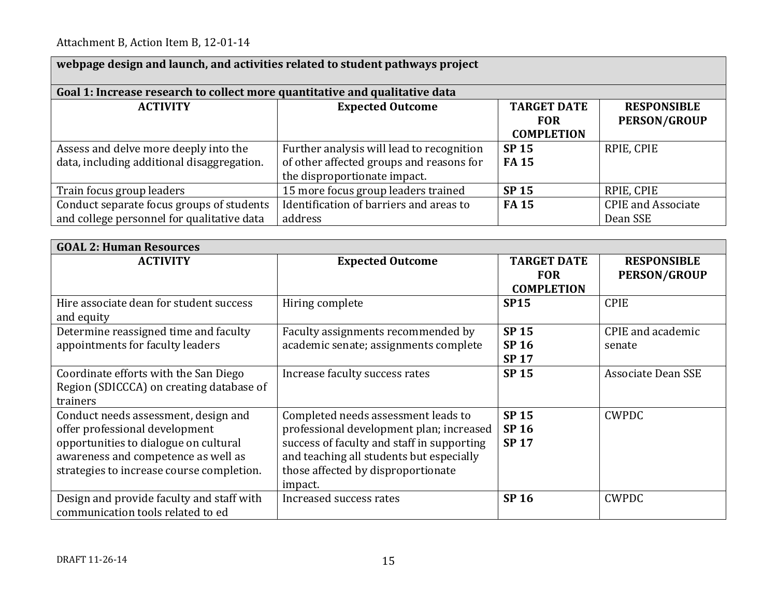| webpage design and launch, and activities related to student pathways project |                                           |                                 |                           |  |
|-------------------------------------------------------------------------------|-------------------------------------------|---------------------------------|---------------------------|--|
| Goal 1: Increase research to collect more quantitative and qualitative data   |                                           |                                 |                           |  |
| <b>ACTIVITY</b>                                                               | <b>Expected Outcome</b>                   | <b>TARGET DATE</b>              | <b>RESPONSIBLE</b>        |  |
|                                                                               |                                           | <b>FOR</b><br><b>COMPLETION</b> | <b>PERSON/GROUP</b>       |  |
| Assess and delve more deeply into the                                         | Further analysis will lead to recognition | <b>SP 15</b>                    | RPIE, CPIE                |  |
| data, including additional disaggregation.                                    | of other affected groups and reasons for  | <b>FA15</b>                     |                           |  |
|                                                                               | the disproportionate impact.              |                                 |                           |  |
| Train focus group leaders                                                     | 15 more focus group leaders trained       | <b>SP 15</b>                    | RPIE, CPIE                |  |
| Conduct separate focus groups of students                                     | Identification of barriers and areas to   | <b>FA15</b>                     | <b>CPIE</b> and Associate |  |
| and college personnel for qualitative data                                    | address                                   |                                 | Dean SSE                  |  |

| <b>GOAL 2: Human Resources</b>            |                                            |                    |                     |
|-------------------------------------------|--------------------------------------------|--------------------|---------------------|
| <b>ACTIVITY</b>                           | <b>Expected Outcome</b>                    | <b>TARGET DATE</b> | <b>RESPONSIBLE</b>  |
|                                           |                                            | <b>FOR</b>         | <b>PERSON/GROUP</b> |
|                                           |                                            | <b>COMPLETION</b>  |                     |
| Hire associate dean for student success   | Hiring complete                            | <b>SP15</b>        | <b>CPIE</b>         |
| and equity                                |                                            |                    |                     |
| Determine reassigned time and faculty     | Faculty assignments recommended by         | <b>SP 15</b>       | CPIE and academic   |
| appointments for faculty leaders          | academic senate; assignments complete      | <b>SP 16</b>       | senate              |
|                                           |                                            | <b>SP 17</b>       |                     |
| Coordinate efforts with the San Diego     | Increase faculty success rates             | <b>SP 15</b>       | Associate Dean SSE  |
| Region (SDICCCA) on creating database of  |                                            |                    |                     |
| trainers                                  |                                            |                    |                     |
| Conduct needs assessment, design and      | Completed needs assessment leads to        | <b>SP 15</b>       | <b>CWPDC</b>        |
| offer professional development            | professional development plan; increased   | <b>SP 16</b>       |                     |
| opportunities to dialogue on cultural     | success of faculty and staff in supporting | <b>SP17</b>        |                     |
| awareness and competence as well as       | and teaching all students but especially   |                    |                     |
| strategies to increase course completion. | those affected by disproportionate         |                    |                     |
|                                           | impact.                                    |                    |                     |
| Design and provide faculty and staff with | Increased success rates                    | <b>SP 16</b>       | <b>CWPDC</b>        |
| communication tools related to ed         |                                            |                    |                     |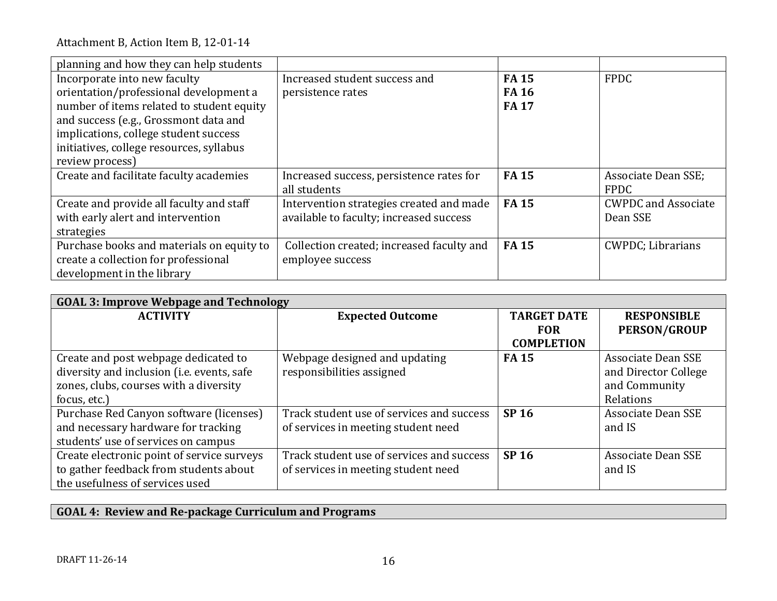| planning and how they can help students   |                                           |              |                            |
|-------------------------------------------|-------------------------------------------|--------------|----------------------------|
| Incorporate into new faculty              | Increased student success and             | <b>FA15</b>  | <b>FPDC</b>                |
| orientation/professional development a    | persistence rates                         | <b>FA 16</b> |                            |
| number of items related to student equity |                                           | <b>FA17</b>  |                            |
| and success (e.g., Grossmont data and     |                                           |              |                            |
| implications, college student success     |                                           |              |                            |
| initiatives, college resources, syllabus  |                                           |              |                            |
| review process)                           |                                           |              |                            |
| Create and facilitate faculty academies   | Increased success, persistence rates for  | <b>FA15</b>  | Associate Dean SSE;        |
|                                           | all students                              |              | <b>FPDC</b>                |
| Create and provide all faculty and staff  | Intervention strategies created and made  | <b>FA15</b>  | <b>CWPDC</b> and Associate |
| with early alert and intervention         | available to faculty; increased success   |              | Dean SSE                   |
| strategies                                |                                           |              |                            |
| Purchase books and materials on equity to | Collection created; increased faculty and | <b>FA15</b>  | <b>CWPDC</b> ; Librarians  |
| create a collection for professional      | employee success                          |              |                            |
| development in the library                |                                           |              |                            |

| <b>GOAL 3: Improve Webpage and Technology</b> |                                           |                    |                           |
|-----------------------------------------------|-------------------------------------------|--------------------|---------------------------|
| <b>ACTIVITY</b>                               | <b>Expected Outcome</b>                   | <b>TARGET DATE</b> | <b>RESPONSIBLE</b>        |
|                                               |                                           | <b>FOR</b>         | <b>PERSON/GROUP</b>       |
|                                               |                                           | <b>COMPLETION</b>  |                           |
| Create and post webpage dedicated to          | Webpage designed and updating             | <b>FA15</b>        | Associate Dean SSE        |
| diversity and inclusion (i.e. events, safe    | responsibilities assigned                 |                    | and Director College      |
| zones, clubs, courses with a diversity        |                                           |                    | and Community             |
| focus, etc.)                                  |                                           |                    | Relations                 |
| Purchase Red Canyon software (licenses)       | Track student use of services and success | <b>SP 16</b>       | <b>Associate Dean SSE</b> |
| and necessary hardware for tracking           | of services in meeting student need       |                    | and IS                    |
| students' use of services on campus           |                                           |                    |                           |
| Create electronic point of service surveys    | Track student use of services and success | <b>SP 16</b>       | <b>Associate Dean SSE</b> |
| to gather feedback from students about        | of services in meeting student need       |                    | and IS                    |
| the usefulness of services used               |                                           |                    |                           |

# **GOAL 4: Review and Re-package Curriculum and Programs**